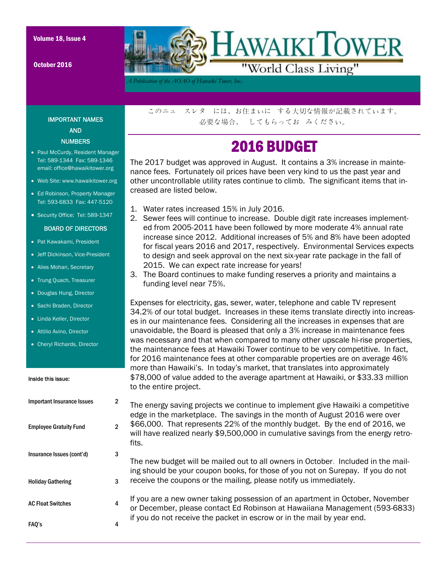October 2016



*A Publication of the AOAO of Hawaiki Tower, Inc..* 

IMPORTANT NAMES AND **NUMBERS** 

- Paul McCurdy, Resident Manager Tel: 589-1344 Fax: 589-1346 email: office@hawaikitower.org
- Web Site: www.hawaikitower.org
- Ed Robinson, Property Manager Tel: 593-6833 Fax: 447-5120
- Security Office: Tel: 589-1347

#### BOARD OF DIRECTORS

- Pat Kawakami, President
- Jeff Dickinson, Vice-President
- Alies Mohan, Secretary
- Trung Quach, Treasurer
- Douglas Hung, Director
- Sachi Braden, Director
- Linda Keller, Director
- Attilio Avino, Director
- Cheryl Richards, Director

#### Inside this issue:

| 2<br>The energy saving projects we continue to implement give Hawaiki a competitive<br>edge in the marketplace. The savings in the month of August 2016 were over<br>\$66,000. That represents 22% of the monthly budget. By the end of 2016, we<br>$\mathfrak{p}$<br>will have realized nearly \$9,500,000 in cumulative savings from the energy retro-<br>fits.<br>3<br>The new budget will be mailed out to all owners in October. Included in the mail-<br>ing should be your coupon books, for those of you not on Surepay. If you do not<br>receive the coupons or the mailing, please notify us immediately.<br>3<br>If you are a new owner taking possession of an apartment in October, November<br>4<br>or December, please contact Ed Robinson at Hawaiiana Management (593-6833)<br>if you do not receive the packet in escrow or in the mail by year end.<br>4 |                                   | to the entire project. |
|-----------------------------------------------------------------------------------------------------------------------------------------------------------------------------------------------------------------------------------------------------------------------------------------------------------------------------------------------------------------------------------------------------------------------------------------------------------------------------------------------------------------------------------------------------------------------------------------------------------------------------------------------------------------------------------------------------------------------------------------------------------------------------------------------------------------------------------------------------------------------------|-----------------------------------|------------------------|
|                                                                                                                                                                                                                                                                                                                                                                                                                                                                                                                                                                                                                                                                                                                                                                                                                                                                             | <b>Important Insurance Issues</b> |                        |
|                                                                                                                                                                                                                                                                                                                                                                                                                                                                                                                                                                                                                                                                                                                                                                                                                                                                             | <b>Employee Gratuity Fund</b>     |                        |
|                                                                                                                                                                                                                                                                                                                                                                                                                                                                                                                                                                                                                                                                                                                                                                                                                                                                             | Insurance Issues (cont'd)         |                        |
|                                                                                                                                                                                                                                                                                                                                                                                                                                                                                                                                                                                                                                                                                                                                                                                                                                                                             | <b>Holiday Gathering</b>          |                        |
|                                                                                                                                                                                                                                                                                                                                                                                                                                                                                                                                                                                                                                                                                                                                                                                                                                                                             | <b>AC Float Switches</b>          |                        |
|                                                                                                                                                                                                                                                                                                                                                                                                                                                                                                                                                                                                                                                                                                                                                                                                                                                                             | FAO's                             |                        |

このニュ スレタ には、お住まいに する大切な情報が記載されています。 必要な場合、 してもらってお みください。

### 2016 BUDGET

The 2017 budget was approved in August. It contains a 3% increase in maintenance fees. Fortunately oil prices have been very kind to us the past year and other uncontrollable utility rates continue to climb. The significant items that increased are listed below.

- 1. Water rates increased 15% in July 2016.
- 2. Sewer fees will continue to increase. Double digit rate increases implemented from 2005-2011 have been followed by more moderate 4% annual rate increase since 2012. Additional increases of 5% and 8% have been adopted for fiscal years 2016 and 2017, respectively. Environmental Services expects to design and seek approval on the next six-year rate package in the fall of 2015. We can expect rate increase for years!
- 3. The Board continues to make funding reserves a priority and maintains a funding level near 75%.

Expenses for electricity, gas, sewer, water, telephone and cable TV represent 34.2% of our total budget. Increases in these items translate directly into increases in our maintenance fees. Considering all the increases in expenses that are unavoidable, the Board is pleased that only a 3% increase in maintenance fees was necessary and that when compared to many other upscale hi-rise properties, the maintenance fees at Hawaiki Tower continue to be very competitive. In fact, for 2016 maintenance fees at other comparable properties are on average 46% more than Hawaiki's. In today's market, that translates into approximately \$78,000 of value added to the average apartment at Hawaiki, or \$33.33 million to the entire project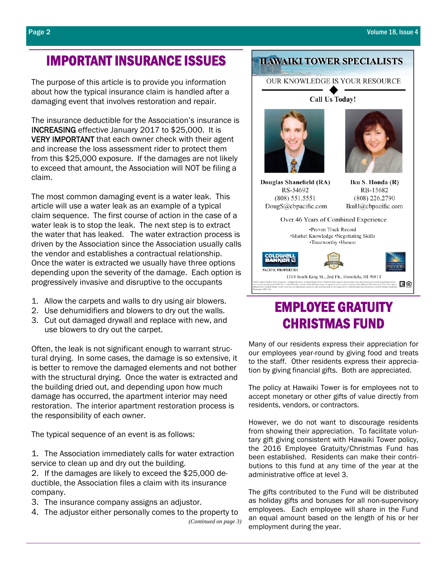### IMPORTANT INSURANCE ISSUES

The purpose of this article is to provide you information about how the typical insurance claim is handled after a damaging event that involves restoration and repair.

The insurance deductible for the Association's insurance is INCREASING effective January 2017 to \$25,000. It is VERY IMPORTANT that each owner check with their agent and increase the loss assessment rider to protect them from this \$25,000 exposure. If the damages are not likely to exceed that amount, the Association will NOT be filing a claim.

The most common damaging event is a water leak. This article will use a water leak as an example of a typical claim sequence. The first course of action in the case of a water leak is to stop the leak. The next step is to extract the water that has leaked. The water extraction process is driven by the Association since the Association usually calls the vendor and establishes a contractual relationship. Once the water is extracted we usually have three options depending upon the severity of the damage. Each option is progressively invasive and disruptive to the occupants

- 1. Allow the carpets and walls to dry using air blowers.
- 2. Use dehumidifiers and blowers to dry out the walls.
- 3. Cut out damaged drywall and replace with new, and use blowers to dry out the carpet.

Often, the leak is not significant enough to warrant structural drying. In some cases, the damage is so extensive, it is better to remove the damaged elements and not bother with the structural drying. Once the water is extracted and the building dried out, and depending upon how much damage has occurred, the apartment interior may need restoration. The interior apartment restoration process is the responsibility of each owner.

The typical sequence of an event is as follows:

1. The Association immediately calls for water extraction service to clean up and dry out the building.

2. If the damages are likely to exceed the \$25,000 deductible, the Association files a claim with its insurance company.

- 3. The insurance company assigns an adjustor.
- 4. The adjustor either personally comes to the property to *(Continued on page 3)*

### **HAWAIKI TOWER SPECIALISTS**

#### OUR KNOWLEDGE IS YOUR RESOURCE

Call Us Today!





Douglas Shanefield (RA) RS-54692  $(808) 551.5551$ DougS@cbpacific.com

Iku S. Honda (R) RB-15682 (808) 226.2790 IkuH@cbpacific.com



### EMPLOYEE GRATUITY CHRISTMAS FUND

Many of our residents express their appreciation for our employees year-round by giving food and treats to the staff. Other residents express their appreciation by giving financial gifts. Both are appreciated.

The policy at Hawaiki Tower is for employees not to accept monetary or other gifts of value directly from residents, vendors, or contractors.

However, we do not want to discourage residents from showing their appreciation. To facilitate voluntary gift giving consistent with Hawaiki Tower policy, the 2016 Employee Gratuity/Christmas Fund has been established. Residents can make their contributions to this fund at any time of the year at the administrative office at level 3.

The gifts contributed to the Fund will be distributed as holiday gifts and bonuses for all non-supervisory employees. Each employee will share in the Fund an equal amount based on the length of his or her employment during the year.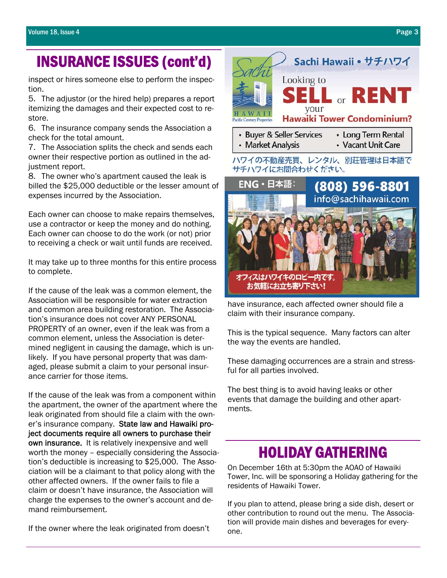## INSURANCE ISSUES (cont'd)

inspect or hires someone else to perform the inspection.

5. The adjustor (or the hired help) prepares a report itemizing the damages and their expected cost to restore.

6. The insurance company sends the Association a check for the total amount.

7. The Association splits the check and sends each owner their respective portion as outlined in the adjustment report.

8. The owner who's apartment caused the leak is billed the \$25,000 deductible or the lesser amount of expenses incurred by the Association.

Each owner can choose to make repairs themselves, use a contractor or keep the money and do nothing. Each owner can choose to do the work (or not) prior to receiving a check or wait until funds are received.

It may take up to three months for this entire process to complete.

If the cause of the leak was a common element, the Association will be responsible for water extraction and common area building restoration. The Association's insurance does not cover ANY PERSONAL PROPERTY of an owner, even if the leak was from a common element, unless the Association is determined negligent in causing the damage, which is unlikely. If you have personal property that was damaged, please submit a claim to your personal insurance carrier for those items.

If the cause of the leak was from a component within the apartment, the owner of the apartment where the leak originated from should file a claim with the owner's insurance company. State law and Hawaiki project documents require all owners to purchase their own insurance. It is relatively inexpensive and well worth the money – especially considering the Association's deductible is increasing to \$25,000. The Association will be a claimant to that policy along with the other affected owners. If the owner fails to file a claim or doesn't have insurance, the Association will charge the expenses to the owner's account and demand reimbursement.

If the owner where the leak originated from doesn't



オフィスはハワイキのロビー内です。 お気軽にお立ち寄り下さい!

have insurance, each affected owner should file a claim with their insurance company.

This is the typical sequence. Many factors can alter the way the events are handled.

These damaging occurrences are a strain and stressful for all parties involved.

The best thing is to avoid having leaks or other events that damage the building and other apartments.

# **HOLIDAY GATHERING**<br>On December 16th at 5:30pm the AOAO of Hawaiki

Tower, Inc. will be sponsoring a Holiday gathering for the residents of Hawaiki Tower.

If you plan to attend, please bring a side dish, desert or other contribution to round out the menu. The Association will provide main dishes and beverages for everyone.